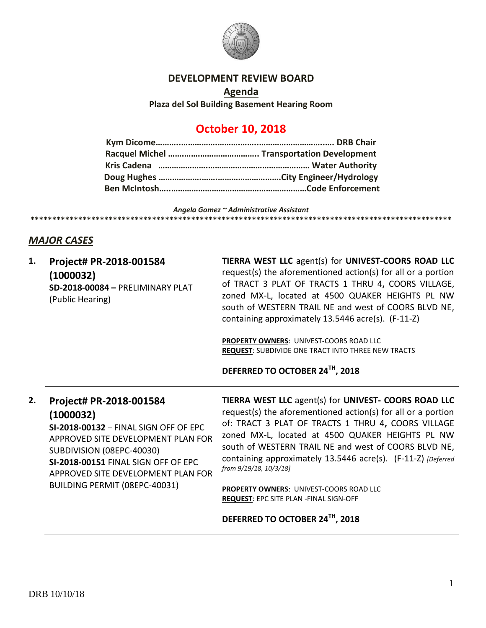

### **DEVELOPMENT REVIEW BOARD**

**Agenda Plaza del Sol Building Basement Hearing Room**

# **October 10, 2018**

#### *Angela Gomez ~ Administrative Assistant* **\*\*\*\*\*\*\*\*\*\*\*\*\*\*\*\*\*\*\*\*\*\*\*\*\*\*\*\*\*\*\*\*\*\*\*\*\*\*\*\*\*\*\*\*\*\*\*\*\*\*\*\*\*\*\*\*\*\*\*\*\*\*\*\*\*\*\*\*\*\*\*\*\*\*\*\*\*\*\*\*\*\*\*\*\*\*\*\*\*\*\*\*\*\*\*\*\***

## *MAJOR CASES*

| 1. | Project# PR-2018-001584<br>(1000032)<br>SD-2018-00084 - PRELIMINARY PLAT<br>(Public Hearing)                                                                                                                                                                   | TIERRA WEST LLC agent(s) for UNIVEST-COORS ROAD LLC<br>request(s) the aforementioned action(s) for all or a portion<br>of TRACT 3 PLAT OF TRACTS 1 THRU 4, COORS VILLAGE,<br>zoned MX-L, located at 4500 QUAKER HEIGHTS PL NW<br>south of WESTERN TRAIL NE and west of COORS BLVD NE,<br>containing approximately 13.5446 acre(s). (F-11-Z)                                                                                                                                          |
|----|----------------------------------------------------------------------------------------------------------------------------------------------------------------------------------------------------------------------------------------------------------------|--------------------------------------------------------------------------------------------------------------------------------------------------------------------------------------------------------------------------------------------------------------------------------------------------------------------------------------------------------------------------------------------------------------------------------------------------------------------------------------|
|    |                                                                                                                                                                                                                                                                | <b>PROPERTY OWNERS: UNIVEST-COORS ROAD LLC</b><br><b>REQUEST: SUBDIVIDE ONE TRACT INTO THREE NEW TRACTS</b><br>DEFERRED TO OCTOBER 24TH, 2018                                                                                                                                                                                                                                                                                                                                        |
|    |                                                                                                                                                                                                                                                                |                                                                                                                                                                                                                                                                                                                                                                                                                                                                                      |
| 2. | Project# PR-2018-001584<br>(1000032)<br>SI-2018-00132 - FINAL SIGN OFF OF EPC<br>APPROVED SITE DEVELOPMENT PLAN FOR<br>SUBDIVISION (08EPC-40030)<br>SI-2018-00151 FINAL SIGN OFF OF EPC<br>APPROVED SITE DEVELOPMENT PLAN FOR<br>BUILDING PERMIT (08EPC-40031) | TIERRA WEST LLC agent(s) for UNIVEST- COORS ROAD LLC<br>request(s) the aforementioned action(s) for all or a portion<br>of: TRACT 3 PLAT OF TRACTS 1 THRU 4, COORS VILLAGE<br>zoned MX-L, located at 4500 QUAKER HEIGHTS PL NW<br>south of WESTERN TRAIL NE and west of COORS BLVD NE,<br>containing approximately 13.5446 acre(s). (F-11-Z) [Deferred<br>from 9/19/18, 10/3/18]<br><b>PROPERTY OWNERS: UNIVEST-COORS ROAD LLC</b><br><b>REQUEST: EPC SITE PLAN - FINAL SIGN-OFF</b> |
|    |                                                                                                                                                                                                                                                                | DEFERRED TO OCTOBER 24TH, 2018                                                                                                                                                                                                                                                                                                                                                                                                                                                       |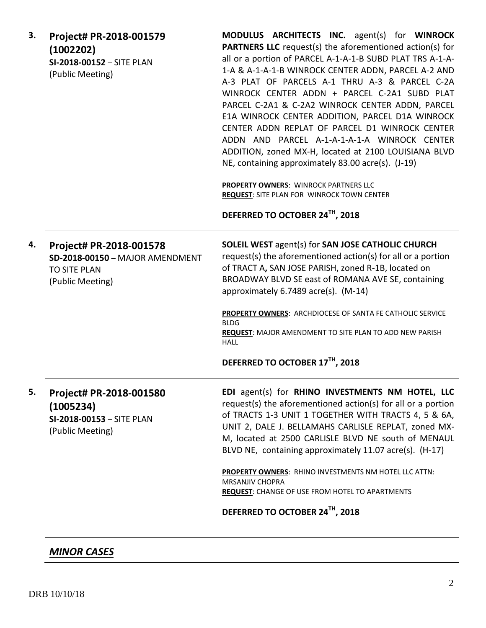| 3. | Project# PR-2018-001579<br>(1002202)<br>SI-2018-00152 - SITE PLAN<br>(Public Meeting)                 | MODULUS ARCHITECTS INC. agent(s) for WINROCK<br><b>PARTNERS LLC</b> request(s) the aforementioned action(s) for<br>all or a portion of PARCEL A-1-A-1-B SUBD PLAT TRS A-1-A-<br>1-A & A-1-A-1-B WINROCK CENTER ADDN, PARCEL A-2 AND<br>A-3 PLAT OF PARCELS A-1 THRU A-3 & PARCEL C-2A<br>WINROCK CENTER ADDN + PARCEL C-2A1 SUBD PLAT<br>PARCEL C-2A1 & C-2A2 WINROCK CENTER ADDN, PARCEL<br>E1A WINROCK CENTER ADDITION, PARCEL D1A WINROCK<br>CENTER ADDN REPLAT OF PARCEL D1 WINROCK CENTER<br>ADDN AND PARCEL A-1-A-1-A-1-A WINROCK CENTER<br>ADDITION, zoned MX-H, located at 2100 LOUISIANA BLVD<br>NE, containing approximately 83.00 acre(s). (J-19)<br>PROPERTY OWNERS: WINROCK PARTNERS LLC<br>REQUEST: SITE PLAN FOR WINROCK TOWN CENTER<br>DEFERRED TO OCTOBER 24TH, 2018 |
|----|-------------------------------------------------------------------------------------------------------|---------------------------------------------------------------------------------------------------------------------------------------------------------------------------------------------------------------------------------------------------------------------------------------------------------------------------------------------------------------------------------------------------------------------------------------------------------------------------------------------------------------------------------------------------------------------------------------------------------------------------------------------------------------------------------------------------------------------------------------------------------------------------------------|
| 4. | Project# PR-2018-001578<br>SD-2018-00150 - MAJOR AMENDMENT<br><b>TO SITE PLAN</b><br>(Public Meeting) | <b>SOLEIL WEST agent(s) for SAN JOSE CATHOLIC CHURCH</b><br>request(s) the aforementioned action(s) for all or a portion<br>of TRACT A, SAN JOSE PARISH, zoned R-1B, located on<br>BROADWAY BLVD SE east of ROMANA AVE SE, containing<br>approximately 6.7489 acre(s). (M-14)<br>PROPERTY OWNERS: ARCHDIOCESE OF SANTA FE CATHOLIC SERVICE<br><b>BLDG</b><br>REQUEST: MAJOR AMENDMENT TO SITE PLAN TO ADD NEW PARISH<br><b>HALL</b><br>DEFERRED TO OCTOBER 17TH, 2018                                                                                                                                                                                                                                                                                                                 |
| 5. | Project# PR-2018-001580<br>(1005234)<br>SI-2018-00153 - SITE PLAN<br>(Public Meeting)                 | EDI agent(s) for RHINO INVESTMENTS NM HOTEL, LLC<br>request(s) the aforementioned action(s) for all or a portion<br>of TRACTS 1-3 UNIT 1 TOGETHER WITH TRACTS 4, 5 & 6A,<br>UNIT 2, DALE J. BELLAMAHS CARLISLE REPLAT, zoned MX-<br>M, located at 2500 CARLISLE BLVD NE south of MENAUL<br>BLVD NE, containing approximately 11.07 acre(s). (H-17)<br>PROPERTY OWNERS: RHINO INVESTMENTS NM HOTEL LLC ATTN:<br><b>MRSANJIV CHOPRA</b><br><b>REQUEST:</b> CHANGE OF USE FROM HOTEL TO APARTMENTS<br>DEFERRED TO OCTOBER 24TH, 2018                                                                                                                                                                                                                                                     |

# *MINOR CASES*